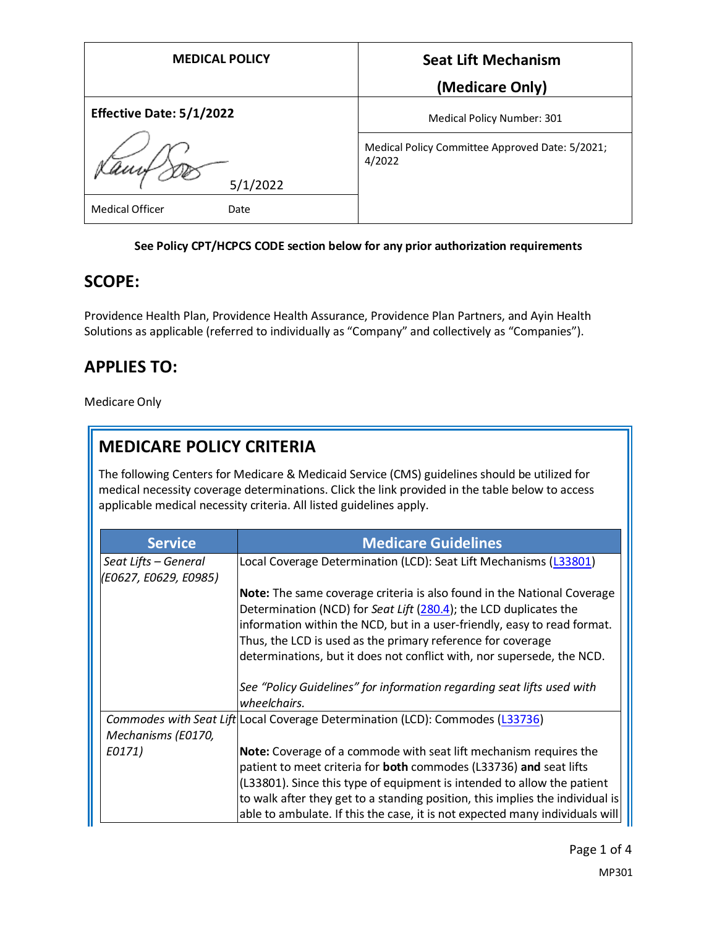| <b>MEDICAL POLICY</b>           | <b>Seat Lift Mechanism</b>                                |
|---------------------------------|-----------------------------------------------------------|
|                                 | (Medicare Only)                                           |
| <b>Effective Date: 5/1/2022</b> | Medical Policy Number: 301                                |
| 5/1/2022                        | Medical Policy Committee Approved Date: 5/2021;<br>4/2022 |
| <b>Medical Officer</b><br>Date  |                                                           |

## **See Policy CPT/HCPCS CODE section below for any prior authorization requirements**

# **SCOPE:**

Providence Health Plan, Providence Health Assurance, Providence Plan Partners, and Ayin Health Solutions as applicable (referred to individually as "Company" and collectively as "Companies").

# **APPLIES TO:**

Medicare Only

# **MEDICARE POLICY CRITERIA**

The following Centers for Medicare & Medicaid Service (CMS) guidelines should be utilized for medical necessity coverage determinations. Click the link provided in the table below to access applicable medical necessity criteria. All listed guidelines apply.

| <b>Service</b>                                | <b>Medicare Guidelines</b>                                                                                                                                                                                                                                                                                                                                        |
|-----------------------------------------------|-------------------------------------------------------------------------------------------------------------------------------------------------------------------------------------------------------------------------------------------------------------------------------------------------------------------------------------------------------------------|
| Seat Lifts – General<br>(E0627, E0629, E0985) | Local Coverage Determination (LCD): Seat Lift Mechanisms (L33801)                                                                                                                                                                                                                                                                                                 |
|                                               | Note: The same coverage criteria is also found in the National Coverage<br>Determination (NCD) for Seat Lift (280.4); the LCD duplicates the<br>information within the NCD, but in a user-friendly, easy to read format.<br>Thus, the LCD is used as the primary reference for coverage<br>determinations, but it does not conflict with, nor supersede, the NCD. |
|                                               | See "Policy Guidelines" for information regarding seat lifts used with<br>wheelchairs.                                                                                                                                                                                                                                                                            |
|                                               | Commodes with Seat Lift Local Coverage Determination (LCD): Commodes (L33736)                                                                                                                                                                                                                                                                                     |
| Mechanisms (E0170,                            |                                                                                                                                                                                                                                                                                                                                                                   |
| E0171)                                        | Note: Coverage of a commode with seat lift mechanism requires the                                                                                                                                                                                                                                                                                                 |
|                                               | patient to meet criteria for <b>both</b> commodes (L33736) and seat lifts                                                                                                                                                                                                                                                                                         |
|                                               | (L33801). Since this type of equipment is intended to allow the patient                                                                                                                                                                                                                                                                                           |
|                                               | to walk after they get to a standing position, this implies the individual is<br>able to ambulate. If this the case, it is not expected many individuals will                                                                                                                                                                                                     |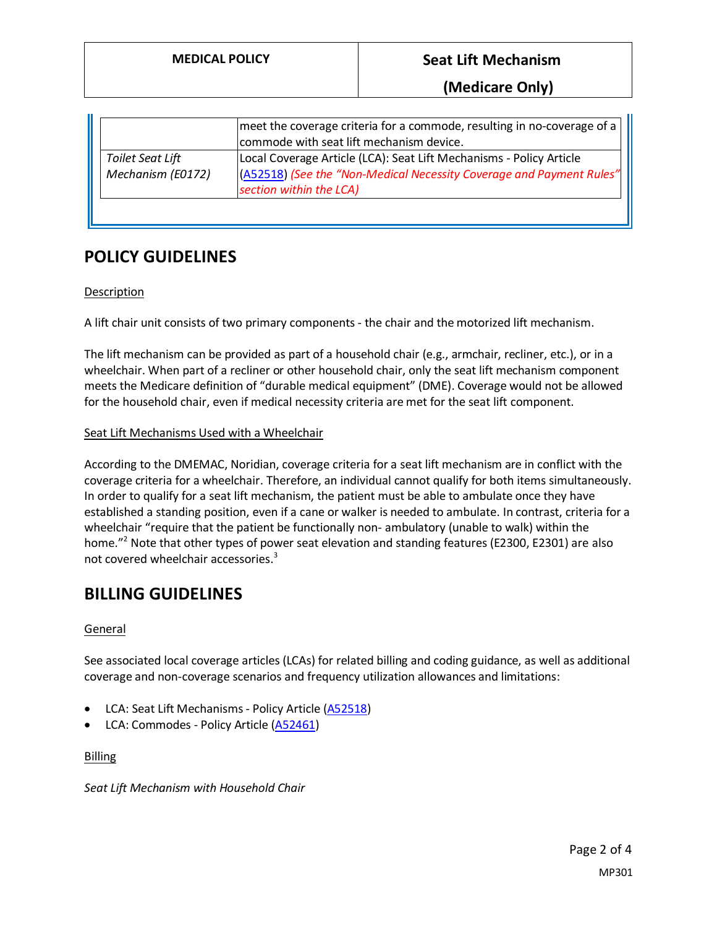|                   | meet the coverage criteria for a commode, resulting in no-coverage of a<br>commode with seat lift mechanism device. |
|-------------------|---------------------------------------------------------------------------------------------------------------------|
| Toilet Seat Lift  | Local Coverage Article (LCA): Seat Lift Mechanisms - Policy Article                                                 |
| Mechanism (E0172) | (A52518) (See the "Non-Medical Necessity Coverage and Payment Rules"                                                |
|                   | section within the LCA)                                                                                             |
|                   |                                                                                                                     |

# **POLICY GUIDELINES**

## Description

A lift chair unit consists of two primary components - the chair and the motorized lift mechanism.

The lift mechanism can be provided as part of a household chair (e.g., armchair, recliner, etc.), or in a wheelchair. When part of a recliner or other household chair, only the seat lift mechanism component meets the Medicare definition of "durable medical equipment" (DME). Coverage would not be allowed for the household chair, even if medical necessity criteria are met for the seat lift component.

## Seat Lift Mechanisms Used with a Wheelchair

According to the DMEMAC, Noridian, coverage criteria for a seat lift mechanism are in conflict with the coverage criteria for a wheelchair. Therefore, an individual cannot qualify for both items simultaneously. In order to qualify for a seat lift mechanism, the patient must be able to ambulate once they have established a standing position, even if a cane or walker is needed to ambulate. In contrast, criteria for a wheelchair "require that the patient be functionally non- ambulatory (unable to walk) within the home." <sup>2</sup> Note that other types of power seat elevation and standing features (E2300, E2301) are also not covered wheelchair accessories. 3

# **BILLING GUIDELINES**

## **General**

See associated local coverage articles (LCAs) for related billing and coding guidance, as well as additional coverage and non-coverage scenarios and frequency utilization allowances and limitations:

- LCA: Seat Lift Mechanisms Policy Article [\(A52518\)](https://www.cms.gov/medicare-coverage-database/details/article-details.aspx?articleId=52518)
- LCA: Commodes Policy Article [\(A52461\)](https://www.cms.gov/medicare-coverage-database/details/article-details.aspx?articleId=52461)

Billing

*Seat Lift Mechanism with Household Chair*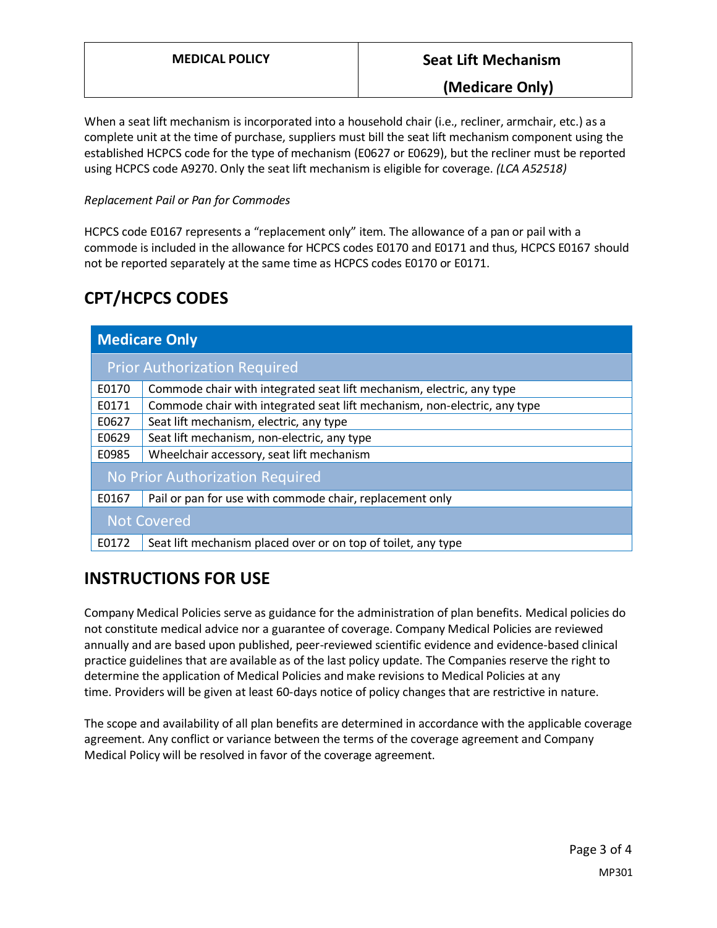## **(Medicare Only)**

When a seat lift mechanism is incorporated into a household chair (i.e., recliner, armchair, etc.) as a complete unit at the time of purchase, suppliers must bill the seat lift mechanism component using the established HCPCS code for the type of mechanism (E0627 or E0629), but the recliner must be reported using HCPCS code A9270. Only the seat lift mechanism is eligible for coverage. *(LCA A52518)*

## *Replacement Pail or Pan for Commodes*

HCPCS code E0167 represents a "replacement only" item. The allowance of a pan or pail with a commode is included in the allowance for HCPCS codes E0170 and E0171 and thus, HCPCS E0167 should not be reported separately at the same time as HCPCS codes E0170 or E0171.

# **CPT/HCPCS CODES**

| <b>Medicare Only</b>                |                                                                           |  |
|-------------------------------------|---------------------------------------------------------------------------|--|
| <b>Prior Authorization Required</b> |                                                                           |  |
| E0170                               | Commode chair with integrated seat lift mechanism, electric, any type     |  |
| E0171                               | Commode chair with integrated seat lift mechanism, non-electric, any type |  |
| E0627                               | Seat lift mechanism, electric, any type                                   |  |
| E0629                               | Seat lift mechanism, non-electric, any type                               |  |
| E0985                               | Wheelchair accessory, seat lift mechanism                                 |  |
| No Prior Authorization Required     |                                                                           |  |
| E0167                               | Pail or pan for use with commode chair, replacement only                  |  |
| <b>Not Covered</b>                  |                                                                           |  |
| E0172                               | Seat lift mechanism placed over or on top of toilet, any type             |  |

# **INSTRUCTIONS FOR USE**

Company Medical Policies serve as guidance for the administration of plan benefits. Medical policies do not constitute medical advice nor a guarantee of coverage. Company Medical Policies are reviewed annually and are based upon published, peer-reviewed scientific evidence and evidence-based clinical practice guidelines that are available as of the last policy update. The Companies reserve the right to determine the application of Medical Policies and make revisions to Medical Policies at any time. Providers will be given at least 60-days notice of policy changes that are restrictive in nature.

The scope and availability of all plan benefits are determined in accordance with the applicable coverage agreement. Any conflict or variance between the terms of the coverage agreement and Company Medical Policy will be resolved in favor of the coverage agreement.